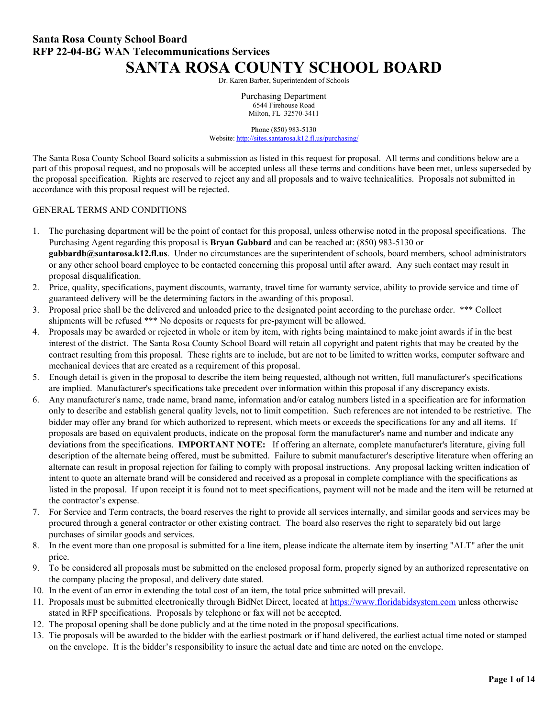# **Santa Rosa County School Board RFP 22-04-BG WAN Telecommunications Services SANTA ROSA COUNTY SCHOOL BOARD**

Dr. Karen Barber, Superintendent of Schools

Purchasing Department 6544 Firehouse Road Milton, FL 32570-3411

Phone (850) 983-5130 Website: <http://sites.santarosa.k12.fl.us/purchasing/>

The Santa Rosa County School Board solicits a submission as listed in this request for proposal. All terms and conditions below are a part of this proposal request, and no proposals will be accepted unless all these terms and conditions have been met, unless superseded by the proposal specification. Rights are reserved to reject any and all proposals and to waive technicalities. Proposals not submitted in accordance with this proposal request will be rejected.

#### GENERAL TERMS AND CONDITIONS

- 1. The purchasing department will be the point of contact for this proposal, unless otherwise noted in the proposal specifications. The Purchasing Agent regarding this proposal is **Bryan Gabbard** and can be reached at: (850) 983-5130 or **gabbardb@santarosa.k12.fl.us**. Under no circumstances are the superintendent of schools, board members, school administrators or any other school board employee to be contacted concerning this proposal until after award. Any such contact may result in proposal disqualification.
- 2. Price, quality, specifications, payment discounts, warranty, travel time for warranty service, ability to provide service and time of guaranteed delivery will be the determining factors in the awarding of this proposal.
- 3. Proposal price shall be the delivered and unloaded price to the designated point according to the purchase order. \*\*\* Collect shipments will be refused \*\*\* No deposits or requests for pre-payment will be allowed.
- 4. Proposals may be awarded or rejected in whole or item by item, with rights being maintained to make joint awards if in the best interest of the district. The Santa Rosa County School Board will retain all copyright and patent rights that may be created by the contract resulting from this proposal. These rights are to include, but are not to be limited to written works, computer software and mechanical devices that are created as a requirement of this proposal.
- 5. Enough detail is given in the proposal to describe the item being requested, although not written, full manufacturer's specifications are implied. Manufacturer's specifications take precedent over information within this proposal if any discrepancy exists.
- 6. Any manufacturer's name, trade name, brand name, information and/or catalog numbers listed in a specification are for information only to describe and establish general quality levels, not to limit competition. Such references are not intended to be restrictive. The bidder may offer any brand for which authorized to represent, which meets or exceeds the specifications for any and all items. If proposals are based on equivalent products, indicate on the proposal form the manufacturer's name and number and indicate any deviations from the specifications. **IMPORTANT NOTE:** If offering an alternate, complete manufacturer's literature, giving full description of the alternate being offered, must be submitted. Failure to submit manufacturer's descriptive literature when offering an alternate can result in proposal rejection for failing to comply with proposal instructions. Any proposal lacking written indication of intent to quote an alternate brand will be considered and received as a proposal in complete compliance with the specifications as listed in the proposal. If upon receipt it is found not to meet specifications, payment will not be made and the item will be returned at the contractor's expense.
- 7. For Service and Term contracts, the board reserves the right to provide all services internally, and similar goods and services may be procured through a general contractor or other existing contract. The board also reserves the right to separately bid out large purchases of similar goods and services.
- 8. In the event more than one proposal is submitted for a line item, please indicate the alternate item by inserting "ALT" after the unit price.
- 9. To be considered all proposals must be submitted on the enclosed proposal form, properly signed by an authorized representative on the company placing the proposal, and delivery date stated.
- 10. In the event of an error in extending the total cost of an item, the total price submitted will prevail.
- 11. Proposals must be submitted electronically through BidNet Direct, located at [https://www.floridabidsystem.com](https://www.floridabidsystem.com/) unless otherwise stated in RFP specifications. Proposals by telephone or fax will not be accepted.
- 12. The proposal opening shall be done publicly and at the time noted in the proposal specifications.
- 13. Tie proposals will be awarded to the bidder with the earliest postmark or if hand delivered, the earliest actual time noted or stamped on the envelope. It is the bidder's responsibility to insure the actual date and time are noted on the envelope.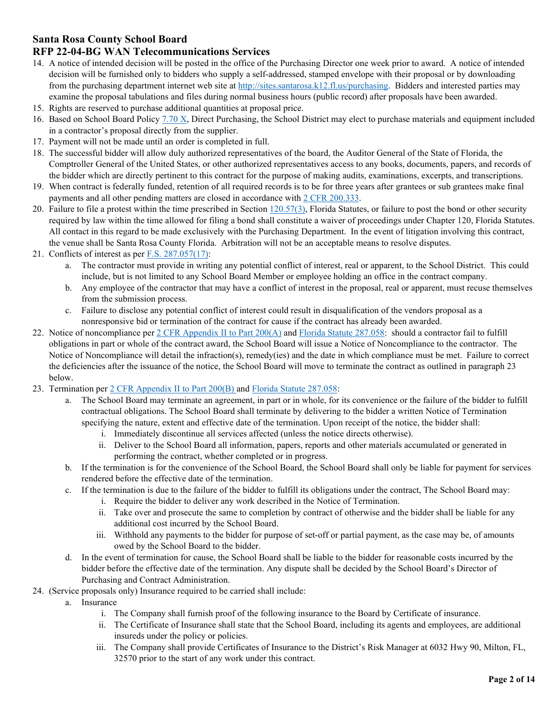## **RFP 22-04-BG WAN Telecommunications Services**

- 14. A notice of intended decision will be posted in the office of the Purchasing Director one week prior to award. A notice of intended decision will be furnished only to bidders who supply a self-addressed, stamped envelope with their proposal or by downloading from the purchasing department internet web site at [http://sites.santarosa.k12.fl.us/purchasing.](http://sites.santarosa.k12.fl.us/purchasing) Bidders and interested parties may examine the proposal tabulations and files during normal business hours (public record) after proposals have been awarded.
- 15. Rights are reserved to purchase additional quantities at proposal price.
- 16. Based on School Board Polic[y 7.70 X,](https://sites.santarosa.k12.fl.us/policy/policy7_70.pdf) Direct Purchasing, the School District may elect to purchase materials and equipment included in a contractor's proposal directly from the supplier.
- 17. Payment will not be made until an order is completed in full.
- 18. The successful bidder will allow duly authorized representatives of the board, the Auditor General of the State of Florida, the Comptroller General of the United States, or other authorized representatives access to any books, documents, papers, and records of the bidder which are directly pertinent to this contract for the purpose of making audits, examinations, excerpts, and transcriptions.
- 19. When contract is federally funded, retention of all required records is to be for three years after grantees or sub grantees make final payments and all other pending matters are closed in accordance wit[h 2 CFR 200.333.](https://www.ecfr.gov/cgi-bin/text-idx?SID=bdb52ec3ce0528f0bfcdedb38a116425&mc=true&node=se2.1.200_1333&rgn=div8)
- 20. Failure to file a protest within the time prescribed in Section  $120.57(3)$ , Florida Statutes, or failure to post the bond or other security required by law within the time allowed for filing a bond shall constitute a waiver of proceedings under Chapter 120, Florida Statutes. All contact in this regard to be made exclusively with the Purchasing Department. In the event of litigation involving this contract, the venue shall be Santa Rosa County Florida. Arbitration will not be an acceptable means to resolve disputes.
- 21. Conflicts of interest as per  $F.S. 287.057(17)$ :
	- a. The contractor must provide in writing any potential conflict of interest, real or apparent, to the School District. This could include, but is not limited to any School Board Member or employee holding an office in the contract company.
	- b. Any employee of the contractor that may have a conflict of interest in the proposal, real or apparent, must recuse themselves from the submission process.
	- c. Failure to disclose any potential conflict of interest could result in disqualification of the vendors proposal as a nonresponsive bid or termination of the contract for cause if the contract has already been awarded.
- 22. Notice of noncompliance per [2 CFR Appendix II to Part 200\(A\)](https://www.ecfr.gov/cgi-bin/text-idx?SID=bdb52ec3ce0528f0bfcdedb38a116425&mc=true&node=ap2.1.200_1521.ii&rgn=div9) and [Florida Statute 287.058:](http://www.leg.state.fl.us/statutes/index.cfm?App_mode=Display_Statute&Search_String=&URL=0200-0299/0287/Sections/0287.058.html) should a contractor fail to fulfill obligations in part or whole of the contract award, the School Board will issue a Notice of Noncompliance to the contractor. The Notice of Noncompliance will detail the infraction(s), remedy(ies) and the date in which compliance must be met. Failure to correct the deficiencies after the issuance of the notice, the School Board will move to terminate the contract as outlined in paragraph 23 below.
- 23. Termination per [2 CFR Appendix II to Part 200\(B\)](https://www.ecfr.gov/cgi-bin/text-idx?SID=bdb52ec3ce0528f0bfcdedb38a116425&mc=true&node=ap2.1.200_1521.ii&rgn=div9) and [Florida Statute 287.058:](http://www.leg.state.fl.us/statutes/index.cfm?App_mode=Display_Statute&Search_String=&URL=0200-0299/0287/Sections/0287.058.html)
	- a. The School Board may terminate an agreement, in part or in whole, for its convenience or the failure of the bidder to fulfill contractual obligations. The School Board shall terminate by delivering to the bidder a written Notice of Termination specifying the nature, extent and effective date of the termination. Upon receipt of the notice, the bidder shall:
		- i. Immediately discontinue all services affected (unless the notice directs otherwise).
		- ii. Deliver to the School Board all information, papers, reports and other materials accumulated or generated in performing the contract, whether completed or in progress.
	- b. If the termination is for the convenience of the School Board, the School Board shall only be liable for payment for services rendered before the effective date of the termination.
	- c. If the termination is due to the failure of the bidder to fulfill its obligations under the contract, The School Board may:
		- i. Require the bidder to deliver any work described in the Notice of Termination.
		- ii. Take over and prosecute the same to completion by contract of otherwise and the bidder shall be liable for any additional cost incurred by the School Board.
		- iii. Withhold any payments to the bidder for purpose of set-off or partial payment, as the case may be, of amounts owed by the School Board to the bidder.
	- d. In the event of termination for cause, the School Board shall be liable to the bidder for reasonable costs incurred by the bidder before the effective date of the termination. Any dispute shall be decided by the School Board's Director of Purchasing and Contract Administration.
- 24. (Service proposals only) Insurance required to be carried shall include:
	- a. Insurance
		- i. The Company shall furnish proof of the following insurance to the Board by Certificate of insurance.
		- ii. The Certificate of Insurance shall state that the School Board, including its agents and employees, are additional insureds under the policy or policies.
		- iii. The Company shall provide Certificates of Insurance to the District's Risk Manager at 6032 Hwy 90, Milton, FL, 32570 prior to the start of any work under this contract.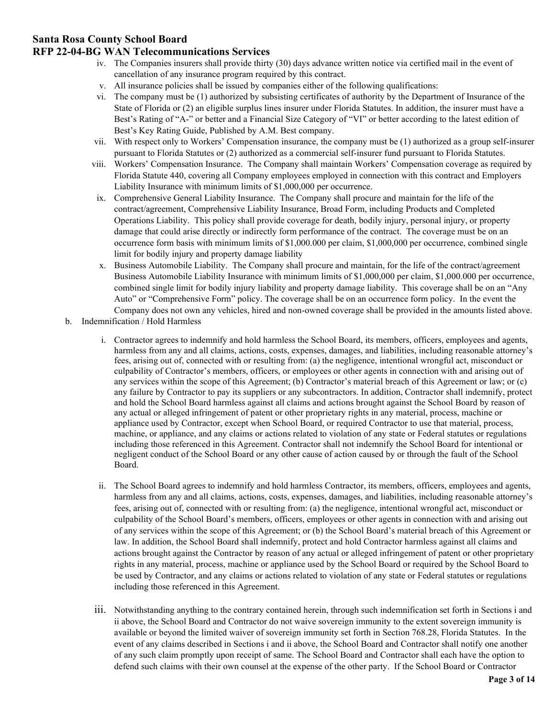### **RFP 22-04-BG WAN Telecommunications Services**

- iv. The Companies insurers shall provide thirty (30) days advance written notice via certified mail in the event of cancellation of any insurance program required by this contract.
- v. All insurance policies shall be issued by companies either of the following qualifications:
- vi. The company must be (1) authorized by subsisting certificates of authority by the Department of Insurance of the State of Florida or (2) an eligible surplus lines insurer under Florida Statutes. In addition, the insurer must have a Best's Rating of "A-" or better and a Financial Size Category of "VI" or better according to the latest edition of Best's Key Rating Guide, Published by A.M. Best company.
- vii. With respect only to Workers' Compensation insurance, the company must be (1) authorized as a group self-insurer pursuant to Florida Statutes or (2) authorized as a commercial self-insurer fund pursuant to Florida Statutes.
- viii. Workers' Compensation Insurance. The Company shall maintain Workers' Compensation coverage as required by Florida Statute 440, covering all Company employees employed in connection with this contract and Employers Liability Insurance with minimum limits of \$1,000,000 per occurrence.
- ix. Comprehensive General Liability Insurance. The Company shall procure and maintain for the life of the contract/agreement, Comprehensive Liability Insurance, Broad Form, including Products and Completed Operations Liability. This policy shall provide coverage for death, bodily injury, personal injury, or property damage that could arise directly or indirectly form performance of the contract. The coverage must be on an occurrence form basis with minimum limits of \$1,000.000 per claim, \$1,000,000 per occurrence, combined single limit for bodily injury and property damage liability
- x. Business Automobile Liability. The Company shall procure and maintain, for the life of the contract/agreement Business Automobile Liability Insurance with minimum limits of \$1,000,000 per claim, \$1,000.000 per occurrence, combined single limit for bodily injury liability and property damage liability. This coverage shall be on an "Any Auto" or "Comprehensive Form" policy. The coverage shall be on an occurrence form policy. In the event the Company does not own any vehicles, hired and non-owned coverage shall be provided in the amounts listed above.
- b. Indemnification / Hold Harmless
	- i. Contractor agrees to indemnify and hold harmless the School Board, its members, officers, employees and agents, harmless from any and all claims, actions, costs, expenses, damages, and liabilities, including reasonable attorney's fees, arising out of, connected with or resulting from: (a) the negligence, intentional wrongful act, misconduct or culpability of Contractor's members, officers, or employees or other agents in connection with and arising out of any services within the scope of this Agreement; (b) Contractor's material breach of this Agreement or law; or (c) any failure by Contractor to pay its suppliers or any subcontractors. In addition, Contractor shall indemnify, protect and hold the School Board harmless against all claims and actions brought against the School Board by reason of any actual or alleged infringement of patent or other proprietary rights in any material, process, machine or appliance used by Contractor, except when School Board, or required Contractor to use that material, process, machine, or appliance, and any claims or actions related to violation of any state or Federal statutes or regulations including those referenced in this Agreement. Contractor shall not indemnify the School Board for intentional or negligent conduct of the School Board or any other cause of action caused by or through the fault of the School Board.
	- ii. The School Board agrees to indemnify and hold harmless Contractor, its members, officers, employees and agents, harmless from any and all claims, actions, costs, expenses, damages, and liabilities, including reasonable attorney's fees, arising out of, connected with or resulting from: (a) the negligence, intentional wrongful act, misconduct or culpability of the School Board's members, officers, employees or other agents in connection with and arising out of any services within the scope of this Agreement; or (b) the School Board's material breach of this Agreement or law. In addition, the School Board shall indemnify, protect and hold Contractor harmless against all claims and actions brought against the Contractor by reason of any actual or alleged infringement of patent or other proprietary rights in any material, process, machine or appliance used by the School Board or required by the School Board to be used by Contractor, and any claims or actions related to violation of any state or Federal statutes or regulations including those referenced in this Agreement.
	- iii. Notwithstanding anything to the contrary contained herein, through such indemnification set forth in Sections i and ii above, the School Board and Contractor do not waive sovereign immunity to the extent sovereign immunity is available or beyond the limited waiver of sovereign immunity set forth in Section 768.28, Florida Statutes. In the event of any claims described in Sections i and ii above, the School Board and Contractor shall notify one another of any such claim promptly upon receipt of same. The School Board and Contractor shall each have the option to defend such claims with their own counsel at the expense of the other party. If the School Board or Contractor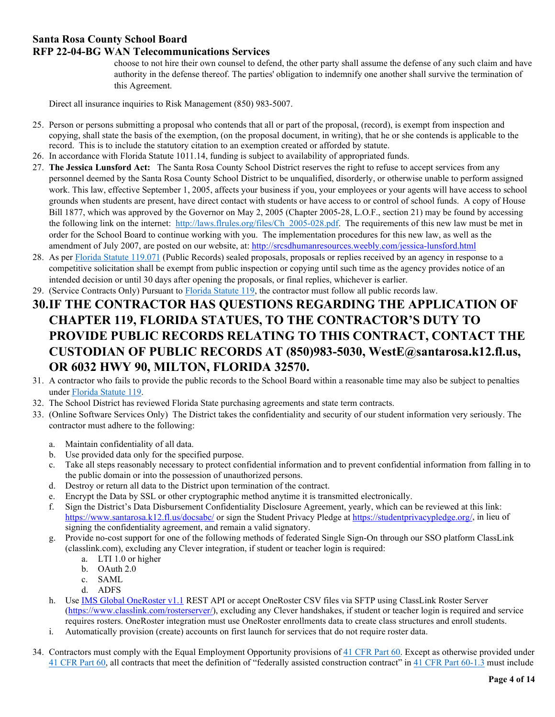# **RFP 22-04-BG WAN Telecommunications Services**

choose to not hire their own counsel to defend, the other party shall assume the defense of any such claim and have authority in the defense thereof. The parties' obligation to indemnify one another shall survive the termination of this Agreement.

Direct all insurance inquiries to Risk Management (850) 983-5007.

- 25. Person or persons submitting a proposal who contends that all or part of the proposal, (record), is exempt from inspection and copying, shall state the basis of the exemption, (on the proposal document, in writing), that he or she contends is applicable to the record. This is to include the statutory citation to an exemption created or afforded by statute.
- 26. In accordance with Florida Statute 1011.14, funding is subject to availability of appropriated funds.
- 27. **The Jessica Lunsford Act:** The Santa Rosa County School District reserves the right to refuse to accept services from any personnel deemed by the Santa Rosa County School District to be unqualified, disorderly, or otherwise unable to perform assigned work. This law, effective September 1, 2005, affects your business if you, your employees or your agents will have access to school grounds when students are present, have direct contact with students or have access to or control of school funds. A copy of House Bill 1877, which was approved by the Governor on May 2, 2005 (Chapter 2005-28, L.O.F., section 21) may be found by accessing the following link on the internet: [http://laws.flrules.org/files/Ch\\_2005-028.pdf.](http://laws.flrules.org/files/Ch_2005-028.pdf) The requirements of this new law must be met in order for the School Board to continue working with you. The implementation procedures for this new law, as well as the amendment of July 2007, are posted on our website, at:<http://srcsdhumanresources.weebly.com/jessica-lunsford.html>
- 28. As per [Florida Statute 119.071](http://www.leg.state.fl.us/statutes/index.cfm?App_mode=Display_Statute&Search_String=&URL=0100-0199/0119/Sections/0119.071.html) (Public Records) sealed proposals, proposals or replies received by an agency in response to a competitive solicitation shall be exempt from public inspection or copying until such time as the agency provides notice of an intended decision or until 30 days after opening the proposals, or final replies, whichever is earlier.
- 29. (Service Contracts Only) Pursuant to [Florida Statute 119,](http://www.leg.state.fl.us/statutes/index.cfm?App_mode=Display_Statute&URL=0100-0199/0119/0119ContentsIndex.html&StatuteYear=2017&Title=-%3E2017-%3EChapter%20119) the contractor must follow all public records law.
- **30.IF THE CONTRACTOR HAS QUESTIONS REGARDING THE APPLICATION OF CHAPTER 119, FLORIDA STATUES, TO THE CONTRACTOR'S DUTY TO PROVIDE PUBLIC RECORDS RELATING TO THIS CONTRACT, CONTACT THE CUSTODIAN OF PUBLIC RECORDS AT (850)983-5030, WestE@santarosa.k12.fl.us, OR 6032 HWY 90, MILTON, FLORIDA 32570.**
- 31. A contractor who fails to provide the public records to the School Board within a reasonable time may also be subject to penalties under [Florida Statute 119.](http://www.leg.state.fl.us/statutes/index.cfm?App_mode=Display_Statute&URL=0100-0199/0119/0119ContentsIndex.html&StatuteYear=2017&Title=-%3E2017-%3EChapter%20119)
- 32. The School District has reviewed Florida State purchasing agreements and state term contracts.
- 33. (Online Software Services Only) The District takes the confidentiality and security of our student information very seriously. The contractor must adhere to the following:
	- a. Maintain confidentiality of all data.
	- b. Use provided data only for the specified purpose.
	- c. Take all steps reasonably necessary to protect confidential information and to prevent confidential information from falling in to the public domain or into the possession of unauthorized persons.
	- d. Destroy or return all data to the District upon termination of the contract.
	- e. Encrypt the Data by SSL or other cryptographic method anytime it is transmitted electronically.
	- f. Sign the District's Data Disbursement Confidentiality Disclosure Agreement, yearly, which can be reviewed at this link: <https://www.santarosa.k12.fl.us/docsabc/> or sign the Student Privacy Pledge at [https://studentprivacypledge.org/,](https://studentprivacypledge.org/) in lieu of signing the confidentiality agreement, and remain a valid signatory.
	- g. Provide no-cost support for one of the following methods of federated Single Sign-On through our SSO platform ClassLink (classlink.com), excluding any Clever integration, if student or teacher login is required:
		- a. LTI 1.0 or higher
		- b. OAuth 2.0
		- c. SAML
		- d. ADFS
	- h. Use [IMS Global OneRoster v1.1](https://www.imsglobal.org/activity/onerosterlis) REST API or accept OneRoster CSV files via SFTP using ClassLink Roster Server [\(https://www.classlink.com/rosterserver/\)](https://www.classlink.com/rosterserver/), excluding any Clever handshakes, if student or teacher login is required and service requires rosters. OneRoster integration must use OneRoster enrollments data to create class structures and enroll students.
	- i. Automatically provision (create) accounts on first launch for services that do not require roster data.
- 34. Contractors must comply with the Equal Employment Opportunity provisions of [41 CFR Part 60.](https://www.ecfr.gov/cgi-bin/text-idx?SID=b945a57db1ed5678da2d3548a56e1699&mc=true&tpl=/ecfrbrowse/Title41/41chapter60.tpl) Except as otherwise provided under [41 CFR Part 60,](https://www.ecfr.gov/cgi-bin/text-idx?SID=b945a57db1ed5678da2d3548a56e1699&mc=true&tpl=/ecfrbrowse/Title41/41chapter60.tpl) all contracts that meet the definition of "federally assisted construction contract" in [41 CFR Part 60-1.3](https://www.ecfr.gov/cgi-bin/text-idx?SID=b945a57db1ed5678da2d3548a56e1699&mc=true&tpl=/ecfrbrowse/Title41/41chapter60.tpl) must include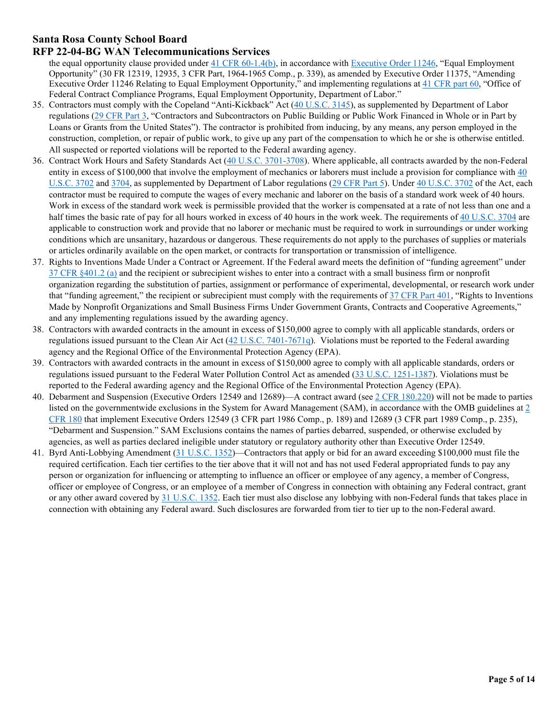## **RFP 22-04-BG WAN Telecommunications Services**

the equal opportunity clause provided under [41 CFR 60-1.4\(b\),](https://www.ecfr.gov/cgi-bin/text-idx?SID=b945a57db1ed5678da2d3548a56e1699&mc=true&tpl=/ecfrbrowse/Title41/41chapter60.tpl) in accordance with [Executive Order 11246,](https://www.dol.gov/ofccp/regs/statutes/eo11246.htm) "Equal Employment Opportunity" (30 FR 12319, 12935, 3 CFR Part, 1964-1965 Comp., p. 339), as amended by Executive Order 11375, "Amending Executive Order 11246 Relating to Equal Employment Opportunity," and implementing regulations at [41 CFR part 60,](https://www.ecfr.gov/cgi-bin/text-idx?SID=b945a57db1ed5678da2d3548a56e1699&mc=true&tpl=/ecfrbrowse/Title41/41chapter60.tpl) "Office of Federal Contract Compliance Programs, Equal Employment Opportunity, Department of Labor."

- 35. Contractors must comply with the Copeland "Anti-Kickback" Act [\(40 U.S.C. 3145\)](http://uscode.house.gov/view.xhtml?req=granuleid%3AUSC-prelim-title40-chapter31-subchapter4&edition=prelim), as supplemented by Department of Labor regulations [\(29 CFR Part 3,](https://www.ecfr.gov/cgi-bin/text-idx?SID=d83cb8b7cd4367dad303324c29d5caff&mc=true&node=pt29.1.3&rgn=div5) "Contractors and Subcontractors on Public Building or Public Work Financed in Whole or in Part by Loans or Grants from the United States"). The contractor is prohibited from inducing, by any means, any person employed in the construction, completion, or repair of public work, to give up any part of the compensation to which he or she is otherwise entitled. All suspected or reported violations will be reported to the Federal awarding agency.
- 36. Contract Work Hours and Safety Standards Act [\(40 U.S.C. 3701-3708\)](https://www.gpo.gov/fdsys/pkg/USCODE-2011-title40/pdf/USCODE-2011-title40-subtitleII-partA-chap37.pdf). Where applicable, all contracts awarded by the non-Federal entity in excess of \$100,000 that involve the employment of mechanics or laborers must include a provision for compliance with 40 [U.S.C. 3702](https://www.gpo.gov/fdsys/pkg/USCODE-2011-title40/pdf/USCODE-2011-title40-subtitleII-partA-chap37.pdf) and [3704,](https://www.gpo.gov/fdsys/pkg/USCODE-2011-title40/pdf/USCODE-2011-title40-subtitleII-partA-chap37.pdf) as supplemented by Department of Labor regulations [\(29 CFR Part 5\)](https://www.ecfr.gov/cgi-bin/text-idx?SID=d83cb8b7cd4367dad303324c29d5caff&mc=true&node=pt29.1.5&rgn=div5). Under [40 U.S.C. 3702](https://www.gpo.gov/fdsys/pkg/USCODE-2011-title40/pdf/USCODE-2011-title40-subtitleII-partA-chap37.pdf) of the Act, each contractor must be required to compute the wages of every mechanic and laborer on the basis of a standard work week of 40 hours. Work in excess of the standard work week is permissible provided that the worker is compensated at a rate of not less than one and a half times the basic rate of pay for all hours worked in excess of 40 hours in the work week. The requirements of [40 U.S.C. 3704](https://www.gpo.gov/fdsys/pkg/USCODE-2011-title40/pdf/USCODE-2011-title40-subtitleII-partA-chap37.pdf) are applicable to construction work and provide that no laborer or mechanic must be required to work in surroundings or under working conditions which are unsanitary, hazardous or dangerous. These requirements do not apply to the purchases of supplies or materials or articles ordinarily available on the open market, or contracts for transportation or transmission of intelligence.
- 37. Rights to Inventions Made Under a Contract or Agreement. If the Federal award meets the definition of "funding agreement" under  $37$  CFR  $§401.2$  (a) and the recipient or subrecipient wishes to enter into a contract with a small business firm or nonprofit organization regarding the substitution of parties, assignment or performance of experimental, developmental, or research work under that "funding agreement," the recipient or subrecipient must comply with the requirements of  $37$  CFR Part 401, "Rights to Inventions Made by Nonprofit Organizations and Small Business Firms Under Government Grants, Contracts and Cooperative Agreements," and any implementing regulations issued by the awarding agency.
- 38. Contractors with awarded contracts in the amount in excess of \$150,000 agree to comply with all applicable standards, orders or regulations issued pursuant to the Clean Air Act [\(42 U.S.C. 7401-7671q\)](https://www.gpo.gov/fdsys/pkg/USCODE-2010-title42/html/USCODE-2010-title42-chap85.htm). Violations must be reported to the Federal awarding agency and the Regional Office of the Environmental Protection Agency (EPA).
- 39. Contractors with awarded contracts in the amount in excess of \$150,000 agree to comply with all applicable standards, orders or regulations issued pursuant to the Federal Water Pollution Control Act as amended [\(33 U.S.C. 1251-1387\)](https://www.gpo.gov/fdsys/pkg/USCODE-2011-title33/pdf/USCODE-2011-title33-chap26.pdf). Violations must be reported to the Federal awarding agency and the Regional Office of the Environmental Protection Agency (EPA).
- 40. Debarment and Suspension (Executive Orders 12549 and 12689)—A contract award (see [2 CFR 180.220\)](https://www.ecfr.gov/cgi-bin/text-idx?SID=d83cb8b7cd4367dad303324c29d5caff&mc=true&node=pt2.1.180&rgn=div5) will not be made to parties listed on the governmentwide exclusions in the System for Award Management (SAM), in accordance with the OMB guidelines at  $2$ [CFR 180](https://www.ecfr.gov/cgi-bin/text-idx?SID=d83cb8b7cd4367dad303324c29d5caff&mc=true&node=pt2.1.180&rgn=div5) that implement Executive Orders 12549 (3 CFR part 1986 Comp., p. 189) and 12689 (3 CFR part 1989 Comp., p. 235), "Debarment and Suspension." SAM Exclusions contains the names of parties debarred, suspended, or otherwise excluded by agencies, as well as parties declared ineligible under statutory or regulatory authority other than Executive Order 12549.
- 41. Byrd Anti-Lobbying Amendment [\(31 U.S.C. 1352\)](https://www.gpo.gov/fdsys/pkg/USCODE-2010-title31/pdf/USCODE-2010-title31-subtitleII-chap13-subchapIII-sec1352.pdf)—Contractors that apply or bid for an award exceeding \$100,000 must file the required certification. Each tier certifies to the tier above that it will not and has not used Federal appropriated funds to pay any person or organization for influencing or attempting to influence an officer or employee of any agency, a member of Congress, officer or employee of Congress, or an employee of a member of Congress in connection with obtaining any Federal contract, grant or any other award covered by [31 U.S.C. 1352.](https://www.gpo.gov/fdsys/pkg/USCODE-2010-title31/pdf/USCODE-2010-title31-subtitleII-chap13-subchapIII-sec1352.pdf) Each tier must also disclose any lobbying with non-Federal funds that takes place in connection with obtaining any Federal award. Such disclosures are forwarded from tier to tier up to the non-Federal award.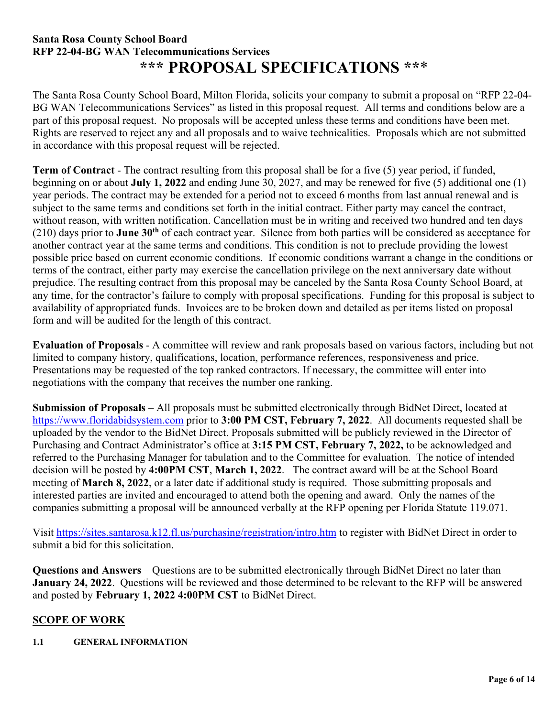# **Santa Rosa County School Board RFP 22-04-BG WAN Telecommunications Services \*\*\* PROPOSAL SPECIFICATIONS \*\***\*

The Santa Rosa County School Board, Milton Florida, solicits your company to submit a proposal on "RFP 22-04- BG WAN Telecommunications Services" as listed in this proposal request. All terms and conditions below are a part of this proposal request. No proposals will be accepted unless these terms and conditions have been met. Rights are reserved to reject any and all proposals and to waive technicalities. Proposals which are not submitted in accordance with this proposal request will be rejected.

**Term of Contract** - The contract resulting from this proposal shall be for a five (5) year period, if funded, beginning on or about **July 1, 2022** and ending June 30, 2027, and may be renewed for five (5) additional one (1) year periods. The contract may be extended for a period not to exceed 6 months from last annual renewal and is subject to the same terms and conditions set forth in the initial contract. Either party may cancel the contract, without reason, with written notification. Cancellation must be in writing and received two hundred and ten days (210) days prior to **June 30th** of each contract year. Silence from both parties will be considered as acceptance for another contract year at the same terms and conditions. This condition is not to preclude providing the lowest possible price based on current economic conditions. If economic conditions warrant a change in the conditions or terms of the contract, either party may exercise the cancellation privilege on the next anniversary date without prejudice. The resulting contract from this proposal may be canceled by the Santa Rosa County School Board, at any time, for the contractor's failure to comply with proposal specifications. Funding for this proposal is subject to availability of appropriated funds. Invoices are to be broken down and detailed as per items listed on proposal form and will be audited for the length of this contract.

**Evaluation of Proposals** - A committee will review and rank proposals based on various factors, including but not limited to company history, qualifications, location, performance references, responsiveness and price. Presentations may be requested of the top ranked contractors. If necessary, the committee will enter into negotiations with the company that receives the number one ranking.

**Submission of Proposals** – All proposals must be submitted electronically through BidNet Direct, located at [https://www.floridabidsystem.com](https://www.floridabidsystem.com/) prior to **3:00 PM CST, February 7, 2022**.All documents requested shall be uploaded by the vendor to the BidNet Direct. Proposals submitted will be publicly reviewed in the Director of Purchasing and Contract Administrator's office at **3:15 PM CST, February 7, 2022,** to be acknowledged and referred to the Purchasing Manager for tabulation and to the Committee for evaluation. The notice of intended decision will be posted by **4:00PM CST**, **March 1, 2022**. The contract award will be at the School Board meeting of **March 8, 2022**, or a later date if additional study is required. Those submitting proposals and interested parties are invited and encouraged to attend both the opening and award. Only the names of the companies submitting a proposal will be announced verbally at the RFP opening per Florida Statute 119.071.

Visit<https://sites.santarosa.k12.fl.us/purchasing/registration/intro.htm> to register with BidNet Direct in order to submit a bid for this solicitation.

**Questions and Answers** – Questions are to be submitted electronically through BidNet Direct no later than **January 24, 2022**. Questions will be reviewed and those determined to be relevant to the RFP will be answered and posted by **February 1, 2022 4:00PM CST** to BidNet Direct.

# **SCOPE OF WORK**

# **1.1 GENERAL INFORMATION**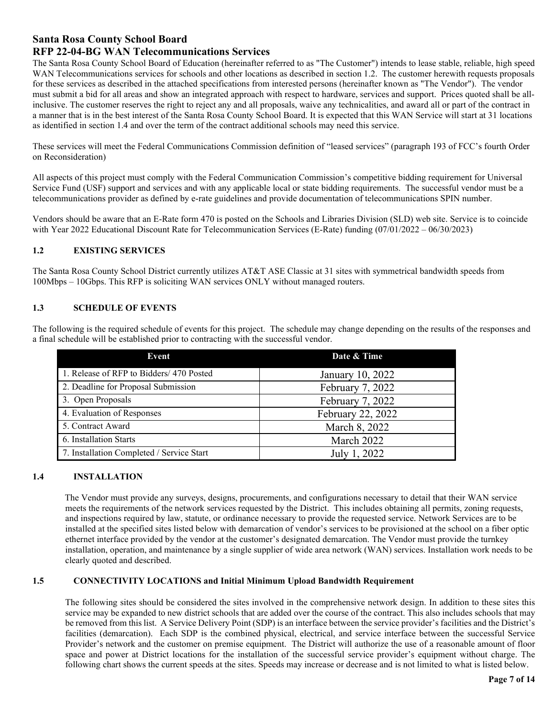## **RFP 22-04-BG WAN Telecommunications Services**

The Santa Rosa County School Board of Education (hereinafter referred to as "The Customer") intends to lease stable, reliable, high speed WAN Telecommunications services for schools and other locations as described in section 1.2. The customer herewith requests proposals for these services as described in the attached specifications from interested persons (hereinafter known as "The Vendor"). The vendor must submit a bid for all areas and show an integrated approach with respect to hardware, services and support. Prices quoted shall be allinclusive. The customer reserves the right to reject any and all proposals, waive any technicalities, and award all or part of the contract in a manner that is in the best interest of the Santa Rosa County School Board. It is expected that this WAN Service will start at 31 locations as identified in section 1.4 and over the term of the contract additional schools may need this service.

These services will meet the Federal Communications Commission definition of "leased services" (paragraph 193 of FCC's fourth Order on Reconsideration)

All aspects of this project must comply with the Federal Communication Commission's competitive bidding requirement for Universal Service Fund (USF) support and services and with any applicable local or state bidding requirements. The successful vendor must be a telecommunications provider as defined by e-rate guidelines and provide documentation of telecommunications SPIN number.

Vendors should be aware that an E-Rate form 470 is posted on the Schools and Libraries Division (SLD) web site. Service is to coincide with Year 2022 Educational Discount Rate for Telecommunication Services (E-Rate) funding (07/01/2022 – 06/30/2023)

#### **1.2 EXISTING SERVICES**

The Santa Rosa County School District currently utilizes AT&T ASE Classic at 31 sites with symmetrical bandwidth speeds from 100Mbps – 10Gbps. This RFP is soliciting WAN services ONLY without managed routers.

#### **1.3 SCHEDULE OF EVENTS**

The following is the required schedule of events for this project. The schedule may change depending on the results of the responses and a final schedule will be established prior to contracting with the successful vendor.

| Event                                     | Date & Time       |
|-------------------------------------------|-------------------|
| 1. Release of RFP to Bidders/ 470 Posted  | January 10, 2022  |
| 2. Deadline for Proposal Submission       | February 7, 2022  |
| 3. Open Proposals                         | February 7, 2022  |
| 4. Evaluation of Responses                | February 22, 2022 |
| 5. Contract Award                         | March 8, 2022     |
| 6. Installation Starts                    | March 2022        |
| 7. Installation Completed / Service Start | July 1, 2022      |

#### **1.4 INSTALLATION**

 The Vendor must provide any surveys, designs, procurements, and configurations necessary to detail that their WAN service meets the requirements of the network services requested by the District. This includes obtaining all permits, zoning requests, and inspections required by law, statute, or ordinance necessary to provide the requested service. Network Services are to be installed at the specified sites listed below with demarcation of vendor's services to be provisioned at the school on a fiber optic ethernet interface provided by the vendor at the customer's designated demarcation. The Vendor must provide the turnkey installation, operation, and maintenance by a single supplier of wide area network (WAN) services. Installation work needs to be clearly quoted and described.

#### **1.5 CONNECTIVITY LOCATIONS and Initial Minimum Upload Bandwidth Requirement**

The following sites should be considered the sites involved in the comprehensive network design. In addition to these sites this service may be expanded to new district schools that are added over the course of the contract. This also includes schools that may be removed from this list. A Service Delivery Point (SDP) is an interface between the service provider's facilities and the District's facilities (demarcation). Each SDP is the combined physical, electrical, and service interface between the successful Service Provider's network and the customer on premise equipment. The District will authorize the use of a reasonable amount of floor space and power at District locations for the installation of the successful service provider's equipment without charge. The following chart shows the current speeds at the sites. Speeds may increase or decrease and is not limited to what is listed below.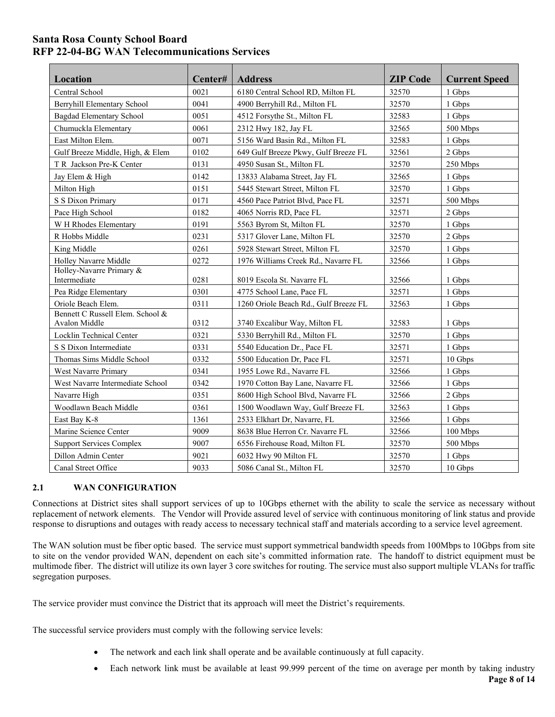## **Santa Rosa County School Board RFP 22-04-BG WAN Telecommunications Services**

| Location                                          | Center# | <b>Address</b>                        | <b>ZIP Code</b> | <b>Current Speed</b> |
|---------------------------------------------------|---------|---------------------------------------|-----------------|----------------------|
| Central School                                    | 0021    | 6180 Central School RD, Milton FL     | 32570           | 1 Gbps               |
| <b>Berryhill Elementary School</b>                | 0041    | 4900 Berryhill Rd., Milton FL         | 32570           | 1 Gbps               |
| <b>Bagdad Elementary School</b>                   | 0051    | 4512 Forsythe St., Milton FL          | 32583           | 1 Gbps               |
| Chumuckla Elementary                              | 0061    | 2312 Hwy 182, Jay FL                  | 32565           | 500 Mbps             |
| East Milton Elem.                                 | 0071    | 5156 Ward Basin Rd., Milton FL        | 32583           | 1 Gbps               |
| Gulf Breeze Middle, High, & Elem                  | 0102    | 649 Gulf Breeze Pkwy, Gulf Breeze FL  | 32561           | 2 Gbps               |
| T R Jackson Pre-K Center                          | 0131    | 4950 Susan St., Milton FL             | 32570           | 250 Mbps             |
| Jay Elem & High                                   | 0142    | 13833 Alabama Street, Jay FL          | 32565           | 1 Gbps               |
| Milton High                                       | 0151    | 5445 Stewart Street, Milton FL        | 32570           | 1 Gbps               |
| S S Dixon Primary                                 | 0171    | 4560 Pace Patriot Blvd, Pace FL       | 32571           | 500 Mbps             |
| Pace High School                                  | 0182    | 4065 Norris RD, Pace FL               | 32571           | 2 Gbps               |
| W H Rhodes Elementary                             | 0191    | 5563 Byrom St, Milton FL              | 32570           | 1 Gbps               |
| R Hobbs Middle                                    | 0231    | 5317 Glover Lane, Milton FL           | 32570           | 2 Gbps               |
| King Middle                                       | 0261    | 5928 Stewart Street, Milton FL        | 32570           | 1 Gbps               |
| Holley Navarre Middle                             | 0272    | 1976 Williams Creek Rd., Navarre FL   | 32566           | 1 Gbps               |
| Holley-Navarre Primary &<br>Intermediate          | 0281    | 8019 Escola St. Navarre FL            | 32566           | 1 Gbps               |
| Pea Ridge Elementary                              | 0301    | 4775 School Lane, Pace FL             | 32571           | 1 Gbps               |
| Oriole Beach Elem.                                | 0311    | 1260 Oriole Beach Rd., Gulf Breeze FL | 32563           | 1 Gbps               |
| Bennett C Russell Elem. School &<br>Avalon Middle | 0312    | 3740 Excalibur Way, Milton FL         | 32583           | 1 Gbps               |
| Locklin Technical Center                          | 0321    | 5330 Berryhill Rd., Milton FL         | 32570           | 1 Gbps               |
| S S Dixon Intermediate                            | 0331    | 5540 Education Dr., Pace FL           | 32571           | 1 Gbps               |
| Thomas Sims Middle School                         | 0332    | 5500 Education Dr, Pace FL            | 32571           | 10 Gbps              |
| West Navarre Primary                              | 0341    | 1955 Lowe Rd., Navarre FL             | 32566           | 1 Gbps               |
| West Navarre Intermediate School                  | 0342    | 1970 Cotton Bay Lane, Navarre FL      | 32566           | 1 Gbps               |
| Navarre High                                      | 0351    | 8600 High School Blvd, Navarre FL     | 32566           | 2 Gbps               |
| Woodlawn Beach Middle                             | 0361    | 1500 Woodlawn Way, Gulf Breeze FL     | 32563           | 1 Gbps               |
| East Bay K-8                                      | 1361    | 2533 Elkhart Dr, Navarre, FL          | 32566           | 1 Gbps               |
| Marine Science Center                             | 9009    | 8638 Blue Herron Cr. Navarre FL       | 32566           | 100 Mbps             |
| <b>Support Services Complex</b>                   | 9007    | 6556 Firehouse Road, Milton FL        | 32570           | 500 Mbps             |
| Dillon Admin Center                               | 9021    | 6032 Hwy 90 Milton FL                 | 32570           | 1 Gbps               |
| Canal Street Office                               | 9033    | 5086 Canal St., Milton FL             | 32570           | 10 Gbps              |

## **2.1 WAN CONFIGURATION**

Connections at District sites shall support services of up to 10Gbps ethernet with the ability to scale the service as necessary without replacement of network elements. The Vendor will Provide assured level of service with continuous monitoring of link status and provide response to disruptions and outages with ready access to necessary technical staff and materials according to a service level agreement.

The WAN solution must be fiber optic based. The service must support symmetrical bandwidth speeds from 100Mbps to 10Gbps from site to site on the vendor provided WAN, dependent on each site's committed information rate. The handoff to district equipment must be multimode fiber. The district will utilize its own layer 3 core switches for routing. The service must also support multiple VLANs for traffic segregation purposes.

The service provider must convince the District that its approach will meet the District's requirements.

The successful service providers must comply with the following service levels:

- The network and each link shall operate and be available continuously at full capacity.
- Each network link must be available at least 99.999 percent of the time on average per month by taking industry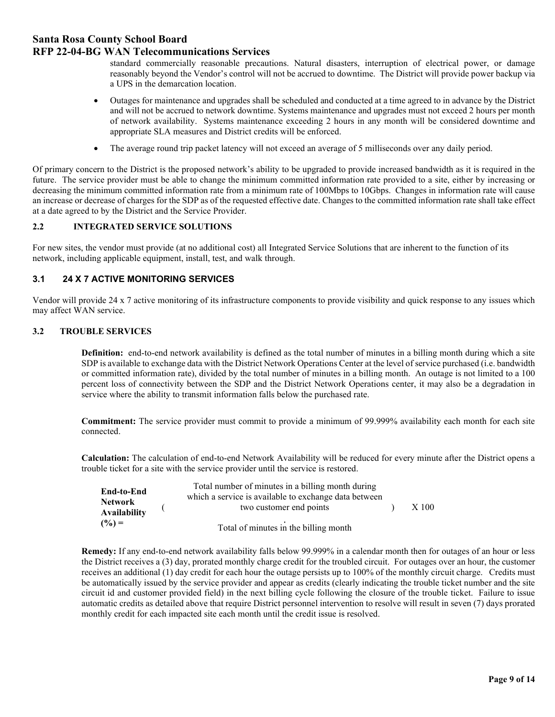### **RFP 22-04-BG WAN Telecommunications Services**

standard commercially reasonable precautions. Natural disasters, interruption of electrical power, or damage reasonably beyond the Vendor's control will not be accrued to downtime. The District will provide power backup via a UPS in the demarcation location.

- Outages for maintenance and upgrades shall be scheduled and conducted at a time agreed to in advance by the District and will not be accrued to network downtime. Systems maintenance and upgrades must not exceed 2 hours per month of network availability. Systems maintenance exceeding 2 hours in any month will be considered downtime and appropriate SLA measures and District credits will be enforced.
- The average round trip packet latency will not exceed an average of 5 milliseconds over any daily period.

Of primary concern to the District is the proposed network's ability to be upgraded to provide increased bandwidth as it is required in the future. The service provider must be able to change the minimum committed information rate provided to a site, either by increasing or decreasing the minimum committed information rate from a minimum rate of 100Mbps to 10Gbps. Changes in information rate will cause an increase or decrease of charges for the SDP as of the requested effective date. Changes to the committed information rate shall take effect at a date agreed to by the District and the Service Provider.

#### **2.2 INTEGRATED SERVICE SOLUTIONS**

For new sites, the vendor must provide (at no additional cost) all Integrated Service Solutions that are inherent to the function of its network, including applicable equipment, install, test, and walk through.

#### **3.1 24 X 7 ACTIVE MONITORING SERVICES**

Vendor will provide 24 x 7 active monitoring of its infrastructure components to provide visibility and quick response to any issues which may affect WAN service.

#### **3.2 TROUBLE SERVICES**

**Definition:** end-to-end network availability is defined as the total number of minutes in a billing month during which a site SDP is available to exchange data with the District Network Operations Center at the level of service purchased (i.e. bandwidth or committed information rate), divided by the total number of minutes in a billing month. An outage is not limited to a 100 percent loss of connectivity between the SDP and the District Network Operations center, it may also be a degradation in service where the ability to transmit information falls below the purchased rate.

**Commitment:** The service provider must commit to provide a minimum of 99.999% availability each month for each site connected.

**Calculation:** The calculation of end-to-end Network Availability will be reduced for every minute after the District opens a trouble ticket for a site with the service provider until the service is restored.

| End-to-End<br><b>Network</b><br><b>Availability</b> | Total number of minutes in a billing month during<br>which a service is available to exchange data between<br>two customer end points | X 100 |
|-----------------------------------------------------|---------------------------------------------------------------------------------------------------------------------------------------|-------|
| $(% = )$                                            | Total of minutes in the billing month                                                                                                 |       |

**Remedy:** If any end-to-end network availability falls below 99.999% in a calendar month then for outages of an hour or less the District receives a (3) day, prorated monthly charge credit for the troubled circuit. For outages over an hour, the customer receives an additional (1) day credit for each hour the outage persists up to 100% of the monthly circuit charge. Credits must be automatically issued by the service provider and appear as credits (clearly indicating the trouble ticket number and the site circuit id and customer provided field) in the next billing cycle following the closure of the trouble ticket. Failure to issue automatic credits as detailed above that require District personnel intervention to resolve will result in seven (7) days prorated monthly credit for each impacted site each month until the credit issue is resolved.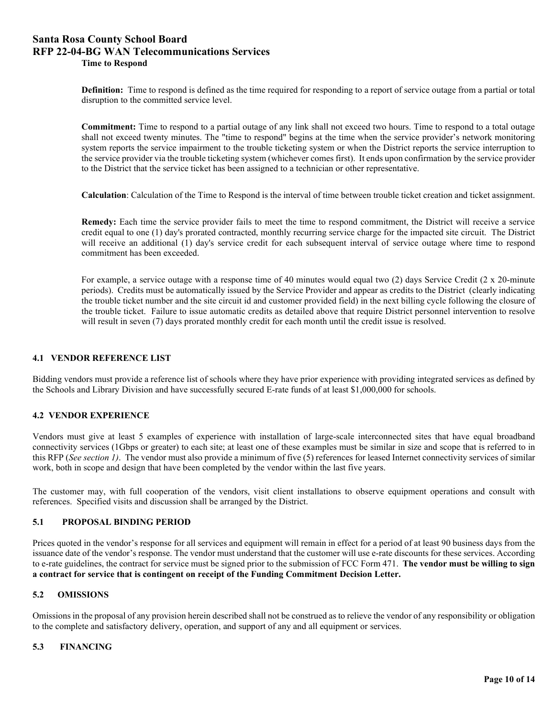## **Santa Rosa County School Board RFP 22-04-BG WAN Telecommunications Services Time to Respond**

**Definition:** Time to respond is defined as the time required for responding to a report of service outage from a partial or total disruption to the committed service level.

**Commitment:** Time to respond to a partial outage of any link shall not exceed two hours. Time to respond to a total outage shall not exceed twenty minutes. The "time to respond" begins at the time when the service provider's network monitoring system reports the service impairment to the trouble ticketing system or when the District reports the service interruption to the service provider via the trouble ticketing system (whichever comes first). It ends upon confirmation by the service provider to the District that the service ticket has been assigned to a technician or other representative.

**Calculation**: Calculation of the Time to Respond is the interval of time between trouble ticket creation and ticket assignment.

**Remedy:** Each time the service provider fails to meet the time to respond commitment, the District will receive a service credit equal to one (1) day's prorated contracted, monthly recurring service charge for the impacted site circuit. The District will receive an additional (1) day's service credit for each subsequent interval of service outage where time to respond commitment has been exceeded.

For example, a service outage with a response time of 40 minutes would equal two (2) days Service Credit (2 x 20-minute periods). Credits must be automatically issued by the Service Provider and appear as credits to the District (clearly indicating the trouble ticket number and the site circuit id and customer provided field) in the next billing cycle following the closure of the trouble ticket. Failure to issue automatic credits as detailed above that require District personnel intervention to resolve will result in seven (7) days prorated monthly credit for each month until the credit issue is resolved.

#### **4.1 VENDOR REFERENCE LIST**

Bidding vendors must provide a reference list of schools where they have prior experience with providing integrated services as defined by the Schools and Library Division and have successfully secured E-rate funds of at least \$1,000,000 for schools.

#### **4.2 VENDOR EXPERIENCE**

Vendors must give at least 5 examples of experience with installation of large-scale interconnected sites that have equal broadband connectivity services (1Gbps or greater) to each site; at least one of these examples must be similar in size and scope that is referred to in this RFP (*See section 1)*. The vendor must also provide a minimum of five (5) references for leased Internet connectivity services of similar work, both in scope and design that have been completed by the vendor within the last five years.

The customer may, with full cooperation of the vendors, visit client installations to observe equipment operations and consult with references. Specified visits and discussion shall be arranged by the District.

#### **5.1 PROPOSAL BINDING PERIOD**

Prices quoted in the vendor's response for all services and equipment will remain in effect for a period of at least 90 business days from the issuance date of the vendor's response. The vendor must understand that the customer will use e-rate discounts for these services. According to e-rate guidelines, the contract for service must be signed prior to the submission of FCC Form 471. **The vendor must be willing to sign a contract for service that is contingent on receipt of the Funding Commitment Decision Letter.**

#### **5.2 OMISSIONS**

Omissions in the proposal of any provision herein described shall not be construed as to relieve the vendor of any responsibility or obligation to the complete and satisfactory delivery, operation, and support of any and all equipment or services.

#### **5.3 FINANCING**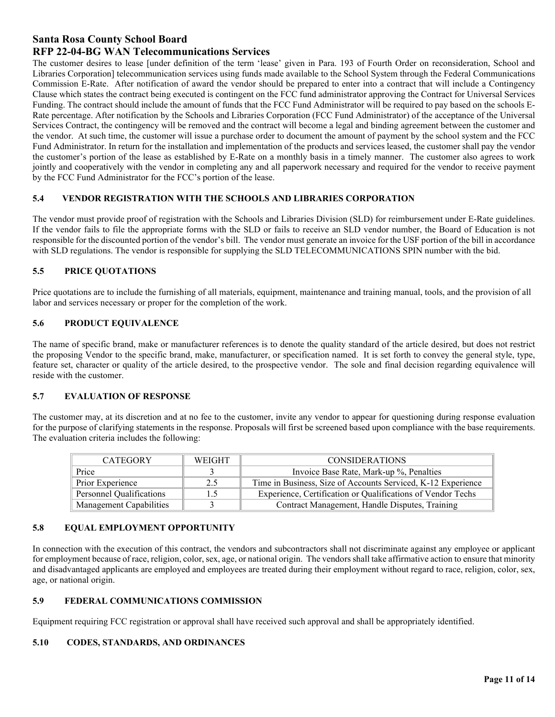## **RFP 22-04-BG WAN Telecommunications Services**

The customer desires to lease [under definition of the term 'lease' given in Para. 193 of Fourth Order on reconsideration, School and Libraries Corporation] telecommunication services using funds made available to the School System through the Federal Communications Commission E-Rate. After notification of award the vendor should be prepared to enter into a contract that will include a Contingency Clause which states the contract being executed is contingent on the FCC fund administrator approving the Contract for Universal Services Funding. The contract should include the amount of funds that the FCC Fund Administrator will be required to pay based on the schools E-Rate percentage. After notification by the Schools and Libraries Corporation (FCC Fund Administrator) of the acceptance of the Universal Services Contract, the contingency will be removed and the contract will become a legal and binding agreement between the customer and the vendor. At such time, the customer will issue a purchase order to document the amount of payment by the school system and the FCC Fund Administrator. In return for the installation and implementation of the products and services leased, the customer shall pay the vendor the customer's portion of the lease as established by E-Rate on a monthly basis in a timely manner. The customer also agrees to work jointly and cooperatively with the vendor in completing any and all paperwork necessary and required for the vendor to receive payment by the FCC Fund Administrator for the FCC's portion of the lease.

#### **5.4 VENDOR REGISTRATION WITH THE SCHOOLS AND LIBRARIES CORPORATION**

The vendor must provide proof of registration with the Schools and Libraries Division (SLD) for reimbursement under E-Rate guidelines. If the vendor fails to file the appropriate forms with the SLD or fails to receive an SLD vendor number, the Board of Education is not responsible for the discounted portion of the vendor's bill. The vendor must generate an invoice for the USF portion of the bill in accordance with SLD regulations. The vendor is responsible for supplying the SLD TELECOMMUNICATIONS SPIN number with the bid.

#### **5.5 PRICE QUOTATIONS**

Price quotations are to include the furnishing of all materials, equipment, maintenance and training manual, tools, and the provision of all labor and services necessary or proper for the completion of the work.

#### **5.6 PRODUCT EQUIVALENCE**

The name of specific brand, make or manufacturer references is to denote the quality standard of the article desired, but does not restrict the proposing Vendor to the specific brand, make, manufacturer, or specification named. It is set forth to convey the general style, type, feature set, character or quality of the article desired, to the prospective vendor. The sole and final decision regarding equivalence will reside with the customer.

#### **5.7 EVALUATION OF RESPONSE**

The customer may, at its discretion and at no fee to the customer, invite any vendor to appear for questioning during response evaluation for the purpose of clarifying statements in the response. Proposals will first be screened based upon compliance with the base requirements. The evaluation criteria includes the following:

| <b>CATEGORY</b>          | <b>WEIGHT</b> | <b>CONSIDERATIONS</b>                                        |  |
|--------------------------|---------------|--------------------------------------------------------------|--|
| Price                    |               | Invoice Base Rate, Mark-up %, Penalties                      |  |
| Prior Experience         | 2.5           | Time in Business, Size of Accounts Serviced, K-12 Experience |  |
| Personnel Qualifications |               | Experience, Certification or Qualifications of Vendor Techs  |  |
| Management Capabilities  |               | Contract Management, Handle Disputes, Training               |  |

## **5.8 EQUAL EMPLOYMENT OPPORTUNITY**

In connection with the execution of this contract, the vendors and subcontractors shall not discriminate against any employee or applicant for employment because of race, religion, color, sex, age, or national origin. The vendors shall take affirmative action to ensure that minority and disadvantaged applicants are employed and employees are treated during their employment without regard to race, religion, color, sex, age, or national origin.

#### **5.9 FEDERAL COMMUNICATIONS COMMISSION**

Equipment requiring FCC registration or approval shall have received such approval and shall be appropriately identified.

#### **5.10 CODES, STANDARDS, AND ORDINANCES**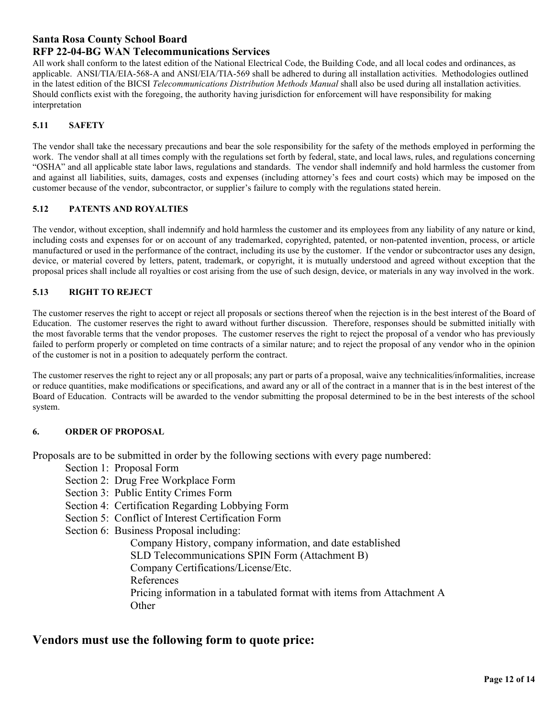## **RFP 22-04-BG WAN Telecommunications Services**

All work shall conform to the latest edition of the National Electrical Code, the Building Code, and all local codes and ordinances, as applicable. ANSI/TIA/EIA-568-A and ANSI/EIA/TIA-569 shall be adhered to during all installation activities. Methodologies outlined in the latest edition of the BICSI *Telecommunications Distribution Methods Manual* shall also be used during all installation activities. Should conflicts exist with the foregoing, the authority having jurisdiction for enforcement will have responsibility for making interpretation

## **5.11 SAFETY**

The vendor shall take the necessary precautions and bear the sole responsibility for the safety of the methods employed in performing the work. The vendor shall at all times comply with the regulations set forth by federal, state, and local laws, rules, and regulations concerning "OSHA" and all applicable state labor laws, regulations and standards. The vendor shall indemnify and hold harmless the customer from and against all liabilities, suits, damages, costs and expenses (including attorney's fees and court costs) which may be imposed on the customer because of the vendor, subcontractor, or supplier's failure to comply with the regulations stated herein.

## **5.12 PATENTS AND ROYALTIES**

The vendor, without exception, shall indemnify and hold harmless the customer and its employees from any liability of any nature or kind, including costs and expenses for or on account of any trademarked, copyrighted, patented, or non-patented invention, process, or article manufactured or used in the performance of the contract, including its use by the customer. If the vendor or subcontractor uses any design, device, or material covered by letters, patent, trademark, or copyright, it is mutually understood and agreed without exception that the proposal prices shall include all royalties or cost arising from the use of such design, device, or materials in any way involved in the work.

## **5.13 RIGHT TO REJECT**

The customer reserves the right to accept or reject all proposals or sections thereof when the rejection is in the best interest of the Board of Education. The customer reserves the right to award without further discussion. Therefore, responses should be submitted initially with the most favorable terms that the vendor proposes. The customer reserves the right to reject the proposal of a vendor who has previously failed to perform properly or completed on time contracts of a similar nature; and to reject the proposal of any vendor who in the opinion of the customer is not in a position to adequately perform the contract.

The customer reserves the right to reject any or all proposals; any part or parts of a proposal, waive any technicalities/informalities, increase or reduce quantities, make modifications or specifications, and award any or all of the contract in a manner that is in the best interest of the Board of Education. Contracts will be awarded to the vendor submitting the proposal determined to be in the best interests of the school system.

## **6. ORDER OF PROPOSAL**

Proposals are to be submitted in order by the following sections with every page numbered:

- Section 1: Proposal Form
- Section 2: Drug Free Workplace Form
- Section 3: Public Entity Crimes Form
- Section 4: Certification Regarding Lobbying Form
- Section 5: Conflict of Interest Certification Form

Section 6: Business Proposal including:

Company History, company information, and date established SLD Telecommunications SPIN Form (Attachment B) Company Certifications/License/Etc. References Pricing information in a tabulated format with items from Attachment A **Other** 

# **Vendors must use the following form to quote price:**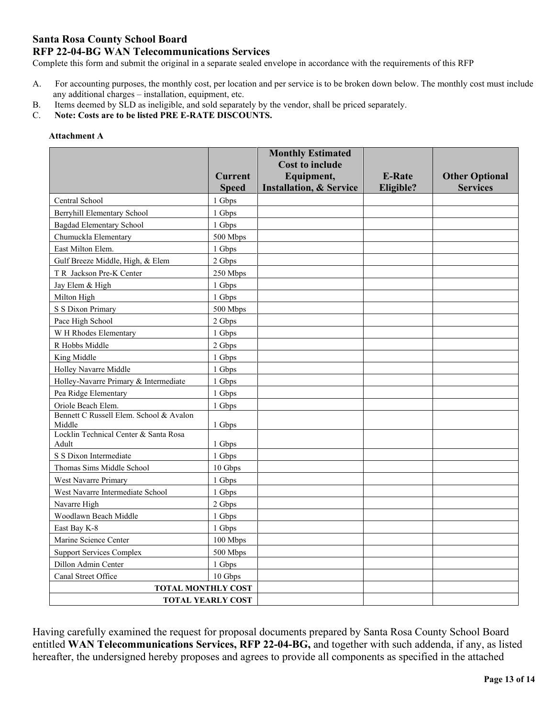## **RFP 22-04-BG WAN Telecommunications Services**

Complete this form and submit the original in a separate sealed envelope in accordance with the requirements of this RFP

- A. For accounting purposes, the monthly cost, per location and per service is to be broken down below. The monthly cost must include any additional charges – installation, equipment, etc.
- B. Items deemed by SLD as ineligible, and sold separately by the vendor, shall be priced separately.
- C. **Note: Costs are to be listed PRE E-RATE DISCOUNTS.**

#### **Attachment A**

|                                                       |                      | <b>Monthly Estimated</b>             |               |                       |
|-------------------------------------------------------|----------------------|--------------------------------------|---------------|-----------------------|
|                                                       | <b>Current</b>       | <b>Cost to include</b><br>Equipment, | <b>E-Rate</b> | <b>Other Optional</b> |
|                                                       | <b>Speed</b>         | <b>Installation, &amp; Service</b>   | Eligible?     | <b>Services</b>       |
| Central School                                        | 1 Gbps               |                                      |               |                       |
| <b>Berryhill Elementary School</b>                    | 1 Gbps               |                                      |               |                       |
| <b>Bagdad Elementary School</b>                       | 1 Gbps               |                                      |               |                       |
| Chumuckla Elementary                                  | 500 Mbps             |                                      |               |                       |
| East Milton Elem.                                     | 1 Gbps               |                                      |               |                       |
| Gulf Breeze Middle, High, & Elem                      | 2 Gbps               |                                      |               |                       |
| T R Jackson Pre-K Center                              | 250 Mbps             |                                      |               |                       |
| Jay Elem & High                                       | 1 Gbps               |                                      |               |                       |
| Milton High                                           | 1 Gbps               |                                      |               |                       |
| S S Dixon Primary                                     | 500 Mbps             |                                      |               |                       |
| Pace High School                                      | 2 Gbps               |                                      |               |                       |
| W H Rhodes Elementary                                 | 1 Gbps               |                                      |               |                       |
| R Hobbs Middle                                        | 2 Gbps               |                                      |               |                       |
| King Middle                                           | 1 Gbps               |                                      |               |                       |
| Holley Navarre Middle                                 | 1 Gbps               |                                      |               |                       |
| Holley-Navarre Primary & Intermediate                 | 1 Gbps               |                                      |               |                       |
| Pea Ridge Elementary                                  | 1 Gbps               |                                      |               |                       |
| Oriole Beach Elem.                                    | 1 Gbps               |                                      |               |                       |
| Bennett C Russell Elem. School & Avalon<br>Middle     | 1 Gbps               |                                      |               |                       |
| Locklin Technical Center & Santa Rosa                 |                      |                                      |               |                       |
| Adult                                                 | 1 Gbps               |                                      |               |                       |
| S S Dixon Intermediate                                | 1 Gbps               |                                      |               |                       |
| Thomas Sims Middle School                             | 10 Gbps              |                                      |               |                       |
| <b>West Navarre Primary</b>                           | 1 Gbps               |                                      |               |                       |
| West Navarre Intermediate School<br>Navarre High      | 1 Gbps               |                                      |               |                       |
|                                                       | 2 Gbps               |                                      |               |                       |
| Woodlawn Beach Middle                                 | 1 Gbps               |                                      |               |                       |
| East Bay K-8<br>Marine Science Center                 | 1 Gbps               |                                      |               |                       |
| <b>Support Services Complex</b>                       | 100 Mbps<br>500 Mbps |                                      |               |                       |
| Dillon Admin Center                                   |                      |                                      |               |                       |
| Canal Street Office                                   | 1 Gbps               |                                      |               |                       |
|                                                       | 10 Gbps              |                                      |               |                       |
| <b>TOTAL MONTHLY COST</b><br><b>TOTAL YEARLY COST</b> |                      |                                      |               |                       |
|                                                       |                      |                                      |               |                       |

Having carefully examined the request for proposal documents prepared by Santa Rosa County School Board entitled **WAN Telecommunications Services, RFP 22-04-BG,** and together with such addenda, if any, as listed hereafter, the undersigned hereby proposes and agrees to provide all components as specified in the attached